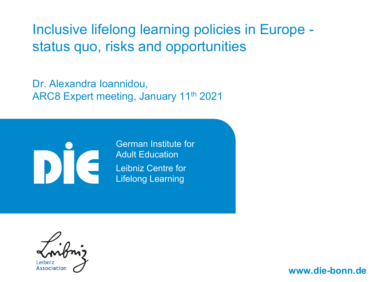## Inclusive lifelong learning policies in Europe status quo, risks and opportunities

Dr. Alexandra Ioannidou, ARC8 Expert meeting, January 11th 2021



German Institute for Adult Education Leibniz Centre for Lifelong Learning

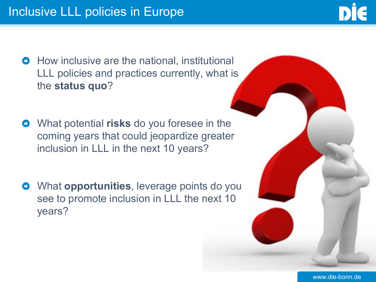

- How inclusive are the national, institutional  $\bullet$ LLL policies and practices currently, what is the **status quo**?
- What potential **risks** do you foresee in the  $\bullet$ coming years that could jeopardize greater inclusion in LLL in the next 10 years?
- What **opportunities**, leverage points do you  $\bullet$ see to promote inclusion in LLL the next 10 years?

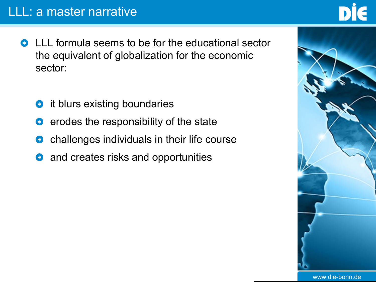- $\bullet$ LLL formula seems to be for the educational sector the equivalent of globalization for the economic sector:
	- it blurs existing boundaries  $\bullet$
	- erodes the responsibility of the state  $\bullet$
	- challenges individuals in their life course  $\bullet$
	- and creates risks and opportunities  $\bullet$

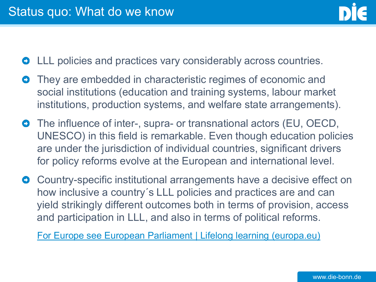- LLL policies and practices vary considerably across countries.
- They are embedded in characteristic regimes of economic and social institutions (education and training systems, labour market institutions, production systems, and welfare state arrangements).
- **O** The influence of inter-, supra- or transnational actors (EU, OECD, UNESCO) in this field is remarkable. Even though education policies are under the jurisdiction of individual countries, significant drivers for policy reforms evolve at the European and international level.
- **O** Country-specific institutional arrangements have a decisive effect on how inclusive a country´s LLL policies and practices are and can yield strikingly different outcomes both in terms of provision, access and participation in LLL, and also in terms of political reforms.

[For Europe see European Parliament | Lifelong learning \(europa.eu\)](https://www.europarl.europa.eu/thinktank/infographics/lifelonglearning/index.html)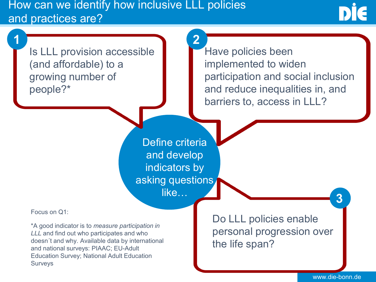How can we identify how inclusive LLL policies and practices are?

Is LLL provision accessible (and affordable) to a growing number of people?\* **1 2**

Have policies been implemented to widen participation and social inclusion and reduce inequalities in, and barriers to, access in LLL?

Define criteria and develop indicators by asking questions like…

Focus on Q1:

\*A good indicator is to *measure participation in LLL* and find out who participates and who doesn´t and why. Available data by international and national surveys: PIAAC; EU-Adult Education Survey; National Adult Education Surveys

Do LLL policies enable personal progression over the life span?

www.die-bonn.de

**3**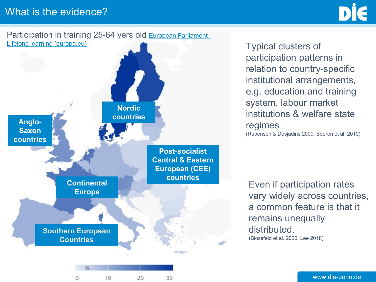

Typical clusters of participation patterns in relation to country-specific institutional arrangements, e.g. education and training system, labour market institutions & welfare state regimes (Rubenson & Desjadins 2009; Boeren et al. 2010)

Even if participation rates vary widely across countries, a common feature is that it remains unequally distributed. (Blossfeld et al. 2020; Lee 2018)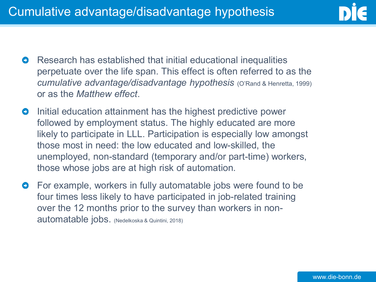

- Research has established that initial educational inequalities  $\bullet$ perpetuate over the life span. This effect is often referred to as the *cumulative advantage/disadvantage hypothesis* (O'Rand & Henretta, 1999) or as the *Matthew effect*.
- Initial education attainment has the highest predictive power  $\bullet$ followed by employment status. The highly educated are more likely to participate in LLL. Participation is especially low amongst those most in need: the low educated and low-skilled, the unemployed, non-standard (temporary and/or part-time) workers, those whose jobs are at high risk of automation.
- For example, workers in fully automatable jobs were found to be  $\bullet$ four times less likely to have participated in job-related training over the 12 months prior to the survey than workers in nonautomatable jobs. (Nedelkoska & Quintini, 2018)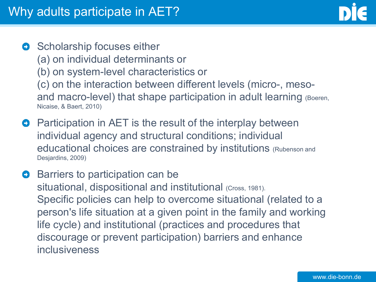- Scholarship focuses either  $\bullet$ (a) on individual determinants or (b) on system-level characteristics or (c) on the interaction between different levels (micro-, mesoand macro-level) that shape participation in adult learning (Boeren, Nicaise, & Baert, 2010)
- **Participation in AET is the result of the interplay between** individual agency and structural conditions; individual educational choices are constrained by institutions (Rubenson and Desjardins, 2009)
- Barriers to participation can be  $\bullet$ situational, dispositional and institutional (Cross, 1981). Specific policies can help to overcome situational (related to a person's life situation at a given point in the family and working life cycle) and institutional (practices and procedures that discourage or prevent participation) barriers and enhance inclusiveness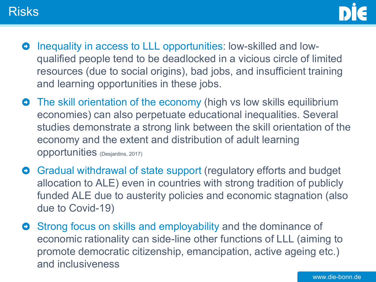



- Inequality in access to LLL opportunities: low-skilled and low- $\bullet$ qualified people tend to be deadlocked in a vicious circle of limited resources (due to social origins), bad jobs, and insufficient training and learning opportunities in these jobs.
- **•** The skill orientation of the economy (high vs low skills equilibrium economies) can also perpetuate educational inequalities. Several studies demonstrate a strong link between the skill orientation of the economy and the extent and distribution of adult learning opportunities (Desjardins, 2017)
- **O** Gradual withdrawal of state support (regulatory efforts and budget allocation to ALE) even in countries with strong tradition of publicly funded ALE due to austerity policies and economic stagnation (also due to Covid-19)
- Strong focus on skills and employability and the dominance of  $\bullet$ economic rationality can side-line other functions of LLL (aiming to promote democratic citizenship, emancipation, active ageing etc.) and inclusiveness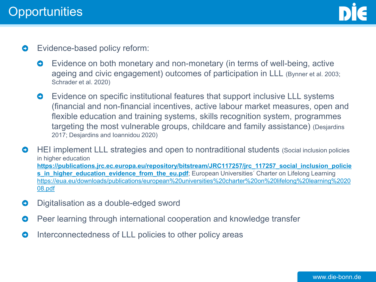

- $\bullet$ Evidence-based policy reform:
	- $\bullet$ Evidence on both monetary and non-monetary (in terms of well-being, active ageing and civic engagement) outcomes of participation in LLL (Bynner et al. 2003; Schrader et al. 2020)
	- Evidence on specific institutional features that support inclusive LLL systems  $\bullet$ (financial and non-financial incentives, active labour market measures, open and flexible education and training systems, skills recognition system, programmes targeting the most vulnerable groups, childcare and family assistance) (Desjardins 2017; Desjardins and Ioannidou 2020)
- $\bullet$ HEI implement LLL strategies and open to nontraditional students (Social inclusion policies in higher education **[https://publications.jrc.ec.europa.eu/repository/bitstream/JRC117257/jrc\\_117257\\_social\\_inclusion\\_policie](https://publications.jrc.ec.europa.eu/repository/bitstream/JRC117257/jrc_117257_social_inclusion_policies_in_higher_education_evidence_from_the_eu.pdf) s\_in\_higher\_education\_evidence\_from\_the\_eu.pdf**; European Universities<sup>'</sup> Charter on Lifelong Learning [https://eua.eu/downloads/publications/european%20universities%20charter%20on%20lifelong%20learning%2020](https://eua.eu/downloads/publications/european%20universities%20charter%20on%20lifelong%20learning%202008.pdf) 08.pdf
- Digitalisation as a double-edged sword  $\bullet$
- Peer learning through international cooperation and knowledge transfer  $\bullet$
- Interconnectedness of LLL policies to other policy areas  $\bullet$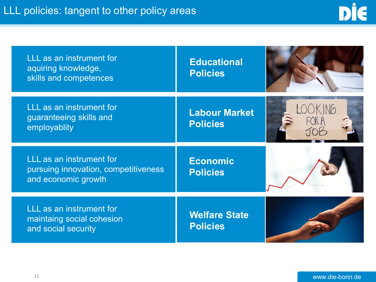| LLL as an instrument for<br>aquiring knowledge,<br>skills and competences               | <b>Educational</b><br><b>Policies</b>   |       |
|-----------------------------------------------------------------------------------------|-----------------------------------------|-------|
| LLL as an instrument for<br>guaranteeing skills and<br>employablity                     | <b>Labour Market</b><br><b>Policies</b> | FOR A |
| LLL as an instrument for<br>pursuing innovation, competitiveness<br>and economic growth | <b>Economic</b><br><b>Policies</b>      |       |
| LLL as an instrument for<br>maintaing social cohesion<br>and social security            | <b>Welfare State</b><br><b>Policies</b> |       |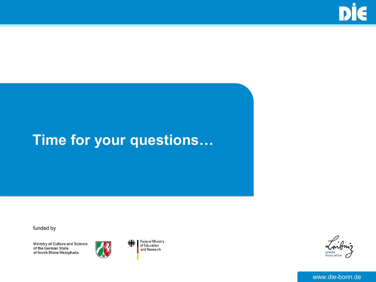# **Time for your questions…**

funded by

Ministry of Culture and Science of the German State of North Rhine-Westphalia



Federal Ministry<br>of Education and Research

銇

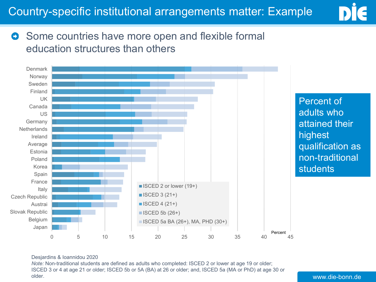

### Some countries have more open and flexible formal  $\bullet$ education structures than others



#### Desjardins & Ioannidou 2020

*Note:* Non-traditional students are defined as adults who completed: ISCED 2 or lower at age 19 or older; ISCED 3 or 4 at age 21 or older; ISCED 5b or 5A (BA) at 26 or older; and, ISCED 5a (MA or PhD) at age 30 or older.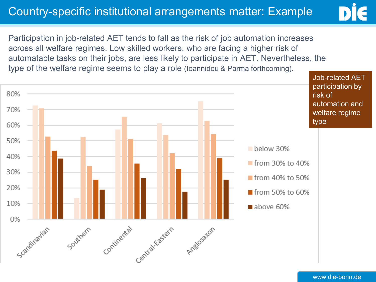## Country-specific institutional arrangements matter: Example



Participation in job-related AET tends to fall as the risk of job automation increases across all welfare regimes. Low skilled workers, who are facing a higher risk of automatable tasks on their jobs, are less likely to participate in AET. Nevertheless, the type of the welfare regime seems to play a role (Ioannidou & Parma forthcoming).